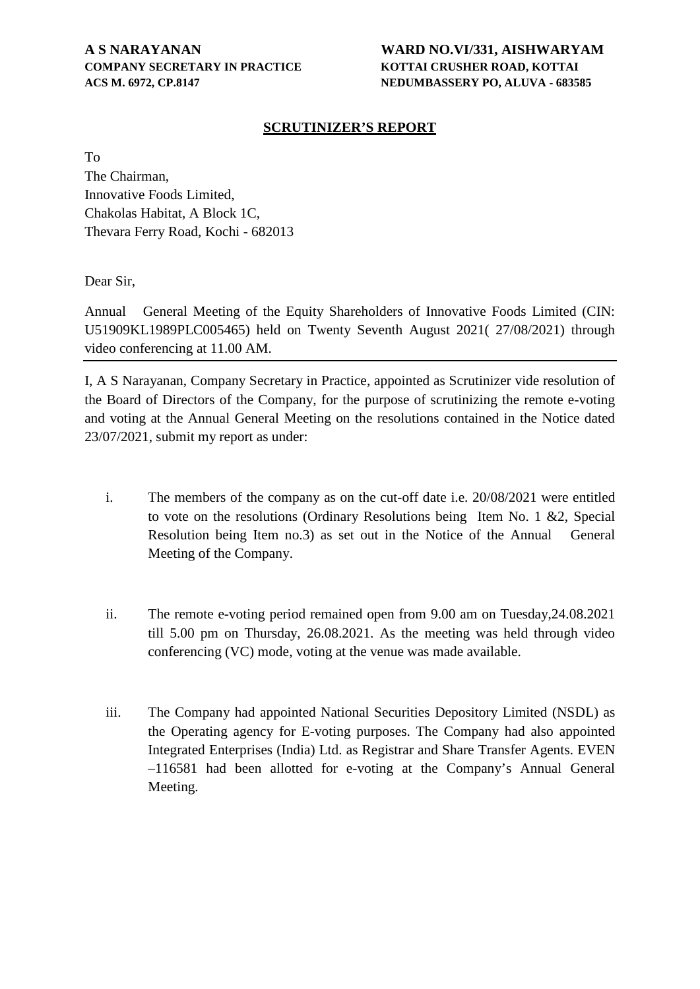# **COMPANY SECRETARY IN PRACTICE KOTTAI CRUSHER ROAD, KOTTAI ACS M. 6972, CP.8147 NEDUMBASSERY PO, ALUVA - 683585**

# **A S NARAYANAN WARD NO.VI/331, AISHWARYAM**

### **SCRUTINIZER'S REPORT**

To The Chairman, Innovative Foods Limited, Chakolas Habitat, A Block 1C, Thevara Ferry Road, Kochi - 682013

Dear Sir,

Annual General Meeting of the Equity Shareholders of Innovative Foods Limited (CIN: U51909KL1989PLC005465) held on Twenty Seventh August 2021( 27/08/2021) through video conferencing at 11.00 AM.

I, A S Narayanan, Company Secretary in Practice, appointed as Scrutinizer vide resolution of the Board of Directors of the Company, for the purpose of scrutinizing the remote e-voting and voting at the Annual General Meeting on the resolutions contained in the Notice dated 23/07/2021, submit my report as under:

- i. The members of the company as on the cut-off date i.e. 20/08/2021 were entitled to vote on the resolutions (Ordinary Resolutions being Item No. 1 &2, Special Resolution being Item no.3) as set out in the Notice of the Annual General Meeting of the Company.
- ii. The remote e-voting period remained open from 9.00 am on Tuesday,24.08.2021 till 5.00 pm on Thursday, 26.08.2021. As the meeting was held through video conferencing (VC) mode, voting at the venue was made available.
- iii. The Company had appointed National Securities Depository Limited (NSDL) as the Operating agency for E-voting purposes. The Company had also appointed Integrated Enterprises (India) Ltd. as Registrar and Share Transfer Agents. EVEN –116581 had been allotted for e-voting at the Company's Annual General Meeting.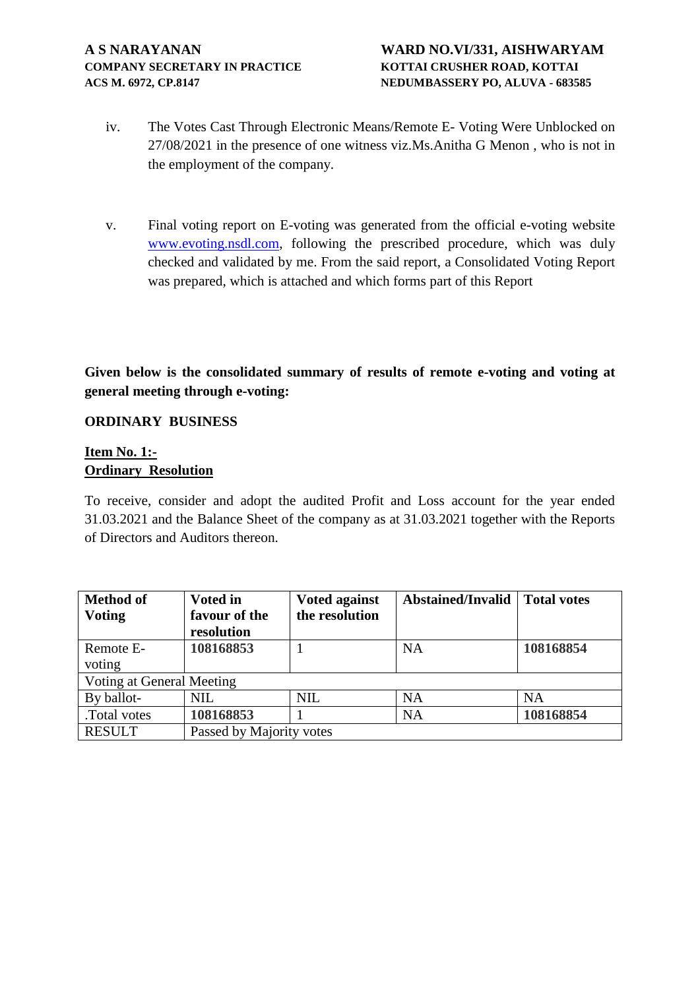- iv. The Votes Cast Through Electronic Means/Remote E- Voting Were Unblocked on 27/08/2021 in the presence of one witness viz.Ms.Anitha G Menon , who is not in the employment of the company.
- v. Final voting report on E-voting was generated from the official e-voting website [www.evoting.nsdl.com,](http://www.evoting.nsdl.com/) following the prescribed procedure, which was duly checked and validated by me. From the said report, a Consolidated Voting Report was prepared, which is attached and which forms part of this Report

**Given below is the consolidated summary of results of remote e-voting and voting at general meeting through e-voting:**

#### **ORDINARY BUSINESS**

### **Item No. 1:- Ordinary Resolution**

To receive, consider and adopt the audited Profit and Loss account for the year ended 31.03.2021 and the Balance Sheet of the company as at 31.03.2021 together with the Reports of Directors and Auditors thereon.

| <b>Method of</b>          | <b>Voted in</b>          | <b>Voted against</b> | <b>Abstained/Invalid</b> | Total votes |  |
|---------------------------|--------------------------|----------------------|--------------------------|-------------|--|
| <b>Voting</b>             | favour of the            | the resolution       |                          |             |  |
|                           | resolution               |                      |                          |             |  |
| Remote E-                 | 108168853                |                      | <b>NA</b>                | 108168854   |  |
| voting                    |                          |                      |                          |             |  |
| Voting at General Meeting |                          |                      |                          |             |  |
| By ballot-                | <b>NIL</b>               | <b>NIL</b>           | <b>NA</b>                | <b>NA</b>   |  |
| .Total votes              | 108168853                |                      | <b>NA</b>                | 108168854   |  |
| <b>RESULT</b>             | Passed by Majority votes |                      |                          |             |  |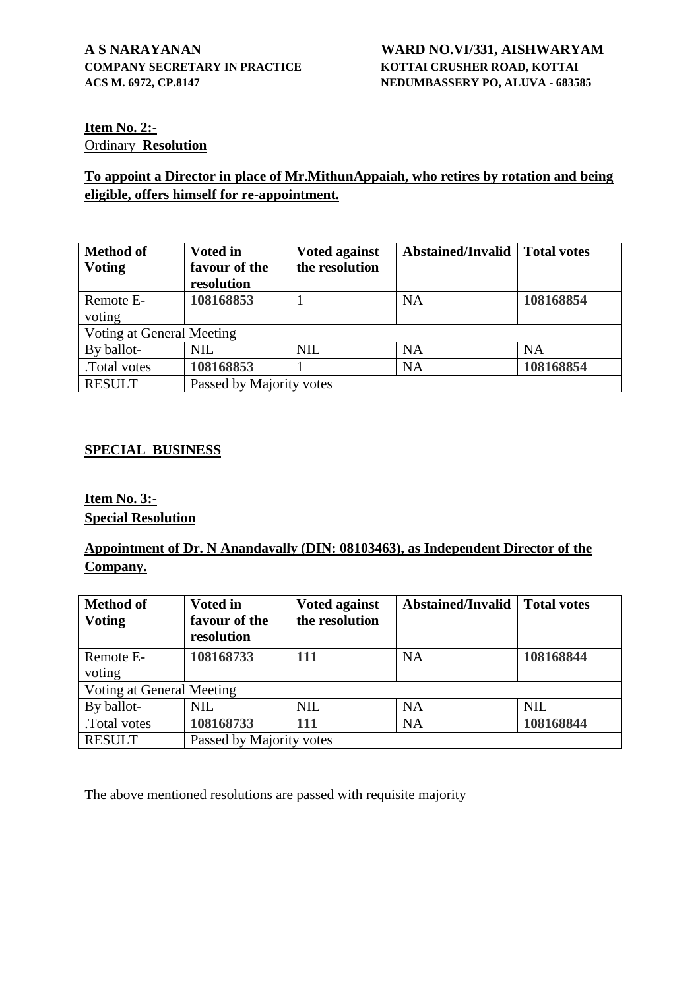### **Item No. 2:-** Ordinary **Resolution**

## **To appoint a Director in place of Mr.MithunAppaiah, who retires by rotation and being eligible, offers himself for re-appointment.**

| <b>Method of</b><br><b>Voting</b> | <b>Voted in</b><br>favour of the<br>resolution | <b>Voted against</b><br>the resolution | <b>Abstained/Invalid</b> | <b>Total votes</b> |  |
|-----------------------------------|------------------------------------------------|----------------------------------------|--------------------------|--------------------|--|
| Remote E-<br>voting               | 108168853                                      |                                        | <b>NA</b>                | 108168854          |  |
| Voting at General Meeting         |                                                |                                        |                          |                    |  |
| By ballot-                        | <b>NIL</b>                                     | <b>NIL</b>                             | <b>NA</b>                | <b>NA</b>          |  |
| .Total votes                      | 108168853                                      |                                        | <b>NA</b>                | 108168854          |  |
| <b>RESULT</b>                     | Passed by Majority votes                       |                                        |                          |                    |  |

### **SPECIAL BUSINESS**

### **Item No. 3:- Special Resolution**

# **Appointment of Dr. N Anandavally (DIN: 08103463), as Independent Director of the Company.**

| <b>Method of</b><br><b>Voting</b> | <b>Voted in</b><br>favour of the<br>resolution | <b>Voted against</b><br>the resolution | <b>Abstained/Invalid</b> | <b>Total votes</b> |  |
|-----------------------------------|------------------------------------------------|----------------------------------------|--------------------------|--------------------|--|
| Remote E-<br>voting               | 108168733                                      | <b>111</b>                             | <b>NA</b>                | 108168844          |  |
| Voting at General Meeting         |                                                |                                        |                          |                    |  |
| By ballot-                        | <b>NIL</b>                                     | <b>NIL</b>                             | <b>NA</b>                | <b>NIL</b>         |  |
| Total votes                       | 108168733                                      | 111                                    | <b>NA</b>                | 108168844          |  |
| <b>RESULT</b>                     | Passed by Majority votes                       |                                        |                          |                    |  |

The above mentioned resolutions are passed with requisite majority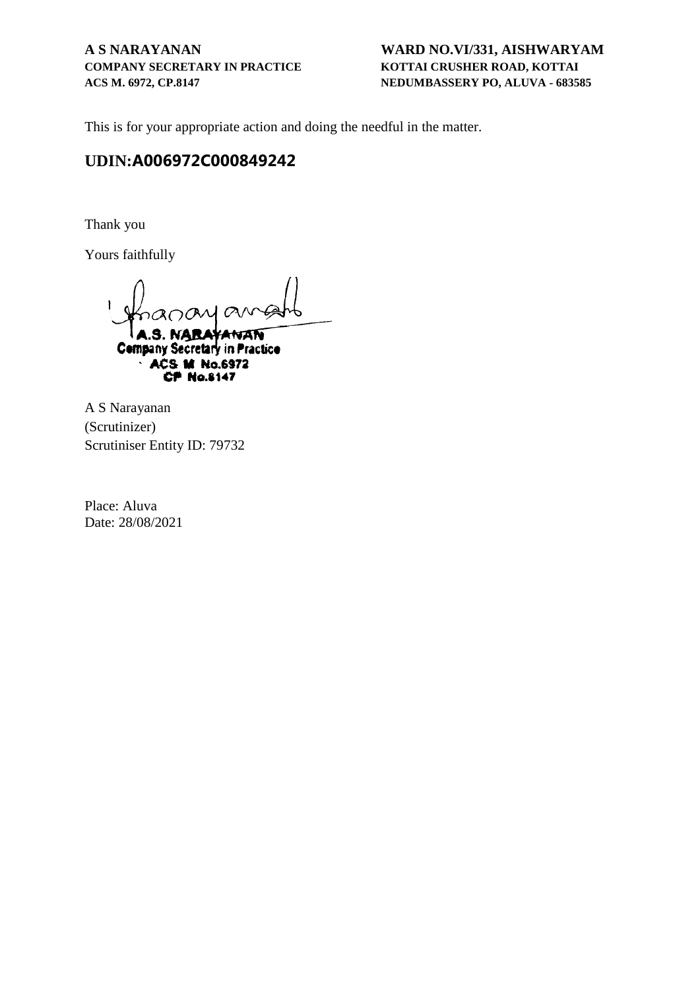# **COMPANY SECRETARY IN PRACTICE KOTTAI CRUSHER ROAD, KOTTAI ACS M. 6972, CP.8147 NEDUMBASSERY PO, ALUVA - 683585**

# **A S NARAYANAN WARD NO.VI/331, AISHWARYAM**

This is for your appropriate action and doing the needful in the matter.

# **UDIN:A006972C000849242**

Thank you

Yours faithfully

O

ANAN **Company Secretary in Practice** ACS M No.6972 **CP No.8147** 

A S Narayanan (Scrutinizer) Scrutiniser Entity ID: 79732

Place: Aluva Date: 28/08/2021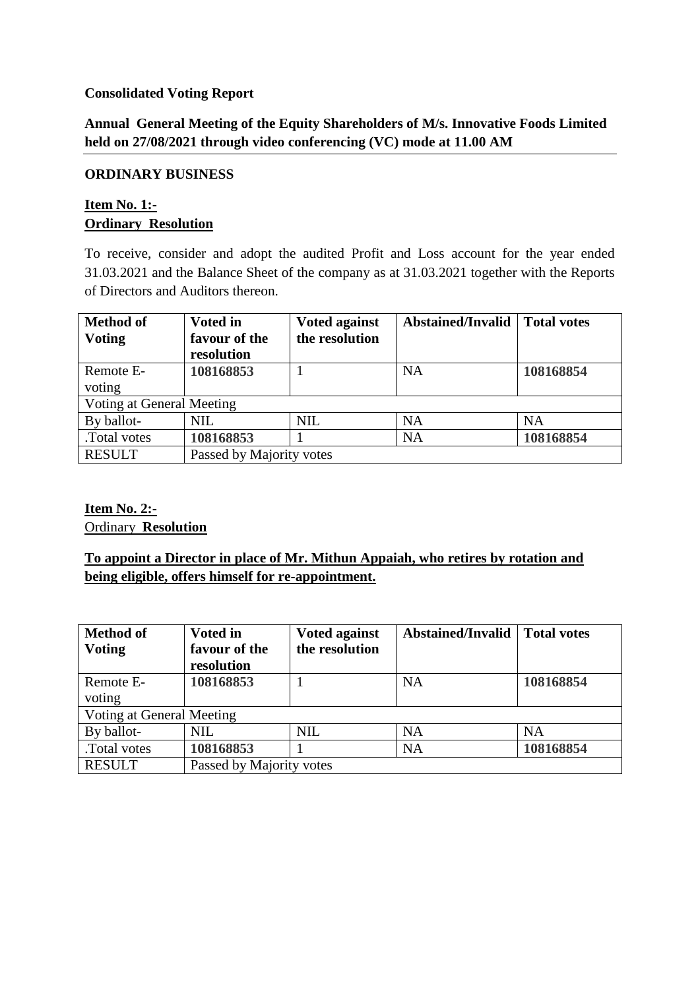### **Consolidated Voting Report**

# **Annual General Meeting of the Equity Shareholders of M/s. Innovative Foods Limited held on 27/08/2021 through video conferencing (VC) mode at 11.00 AM**

### **ORDINARY BUSINESS**

## **Item No. 1:- Ordinary Resolution**

To receive, consider and adopt the audited Profit and Loss account for the year ended 31.03.2021 and the Balance Sheet of the company as at 31.03.2021 together with the Reports of Directors and Auditors thereon.

| <b>Method of</b><br><b>Voting</b> | <b>Voted in</b><br>favour of the | <b>Voted against</b><br>the resolution | Abstained/Invalid | <b>Total votes</b> |  |
|-----------------------------------|----------------------------------|----------------------------------------|-------------------|--------------------|--|
|                                   | resolution                       |                                        |                   |                    |  |
| Remote E-                         | 108168853                        |                                        | <b>NA</b>         | 108168854          |  |
| voting                            |                                  |                                        |                   |                    |  |
| Voting at General Meeting         |                                  |                                        |                   |                    |  |
| By ballot-                        | <b>NIL</b>                       | <b>NIL</b>                             | <b>NA</b>         | <b>NA</b>          |  |
| .Total votes                      | 108168853                        |                                        | <b>NA</b>         | 108168854          |  |
| <b>RESULT</b>                     | Passed by Majority votes         |                                        |                   |                    |  |

### **Item No. 2:-** Ordinary **Resolution**

# **To appoint a Director in place of Mr. Mithun Appaiah, who retires by rotation and being eligible, offers himself for re-appointment.**

| <b>Method of</b>          | <b>Voted in</b>          | <b>Voted against</b> | <b>Abstained/Invalid</b> | <b>Total votes</b> |  |
|---------------------------|--------------------------|----------------------|--------------------------|--------------------|--|
| <b>Voting</b>             | favour of the            | the resolution       |                          |                    |  |
|                           | resolution               |                      |                          |                    |  |
| Remote E-                 | 108168853                |                      | <b>NA</b>                | 108168854          |  |
| voting                    |                          |                      |                          |                    |  |
| Voting at General Meeting |                          |                      |                          |                    |  |
| By ballot-                | NIL                      | <b>NIL</b>           | <b>NA</b>                | <b>NA</b>          |  |
| .Total votes              | 108168853                |                      | <b>NA</b>                | 108168854          |  |
| <b>RESULT</b>             | Passed by Majority votes |                      |                          |                    |  |